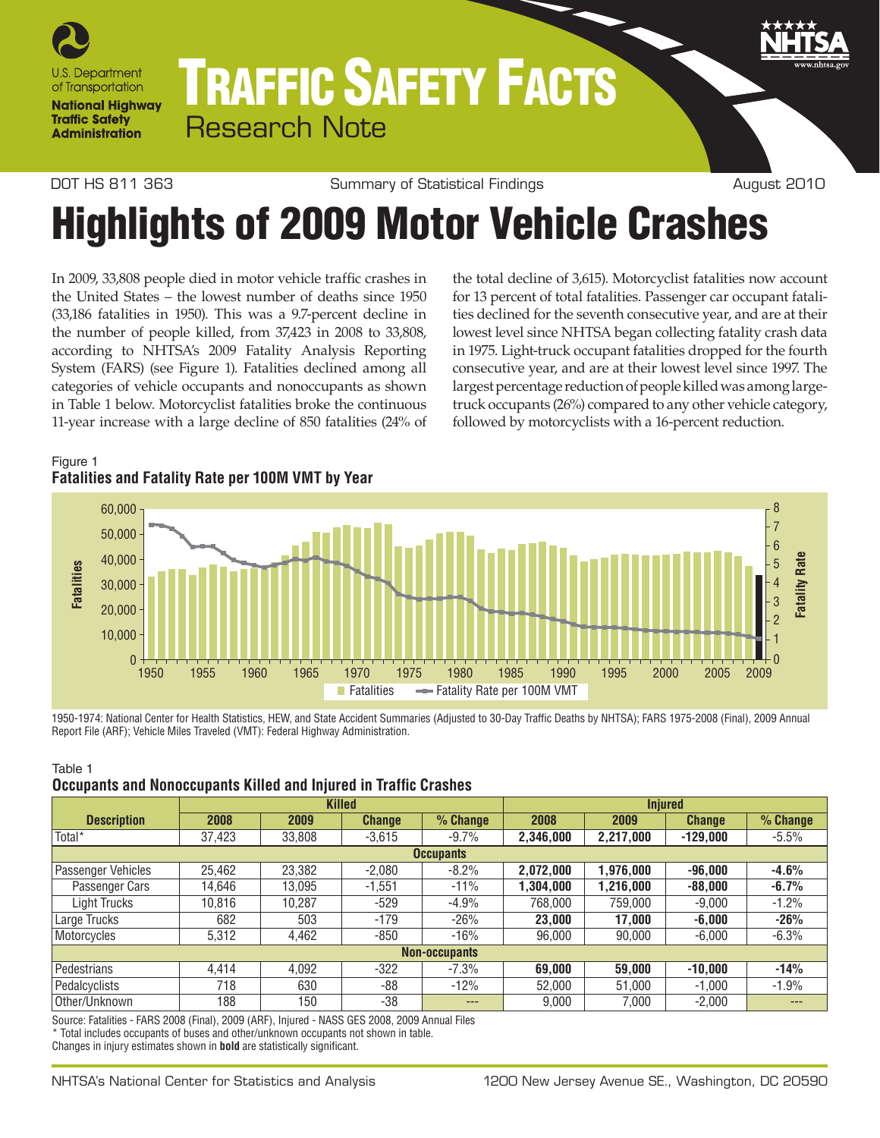

# Traffic Safety Facts Research Note

DOT HS 811 363 Summary of Statistical Findings The Sugast 2010

# Highlights of 2009 Motor Vehicle crashes

In 2009, 33,808 people died in motor vehicle traffic crashes in the United States – the lowest number of deaths since 1950 (33,186 fatalities in 1950). This was a 9.7-percent decline in the number of people killed, from 37,423 in 2008 to 33,808, according to NHTSA's 2009 Fatality Analysis Reporting System (FARS) (see Figure 1). Fatalities declined among all categories of vehicle occupants and nonoccupants as shown in Table 1 below. Motorcyclist fatalities broke the continuous 11-year increase with a large decline of 850 fatalities (24% of the total decline of 3,615). Motorcyclist fatalities now account for 13 percent of total fatalities. Passenger car occupant fatalities declined for the seventh consecutive year, and are at their lowest level since NHTSA began collecting fatality crash data in 1975. Light-truck occupant fatalities dropped for the fourth consecutive year, and are at their lowest level since 1997. The largest percentage reduction of people killed was among largetruck occupants (26%) compared to any other vehicle category, followed by motorcyclists with a 16-percent reduction.

# Figure 1 **Fatalities and Fatality Rate per 100M VMT by Year**



1950-1974: National Center for Health Statistics, HEW, and State Accident Summaries (Adjusted to 30-Day Traffic Deaths by NHTSA); FARS 1975-2008 (Final), 2009 Annual Report File (ARF); Vehicle Miles Traveled (VMT): Federal Highway Administration.

#### Table 1

#### **Occupants and Nonoccupants Killed and Injured in Traffic Crashes**

|                    |                      |        | <b>Killed</b> |          | <b>Injured</b> |           |               |            |  |  |
|--------------------|----------------------|--------|---------------|----------|----------------|-----------|---------------|------------|--|--|
| <b>Description</b> | 2008                 | 2009   | <b>Change</b> | % Change | 2008           | 2009      | <b>Change</b> | $%$ Change |  |  |
| Total <sup>*</sup> | 37,423               | 33,808 | $-3.615$      | $-9.7%$  | 2,346,000      | 2,217,000 | $-129.000$    | $-5.5%$    |  |  |
| <b>Occupants</b>   |                      |        |               |          |                |           |               |            |  |  |
| Passenger Vehicles | 25.462               | 23,382 | $-2.080$      | $-8.2%$  | 2,072,000      | 1,976,000 | $-96.000$     | $-4.6%$    |  |  |
| Passenger Cars     | 14,646               | 13.095 | $-1.551$      | $-11%$   | 1,304,000      | 1,216,000 | $-88,000$     | $-6.7%$    |  |  |
| Light Trucks       | 10.816               | 10,287 | $-529$        | $-4.9%$  | 768,000        | 759,000   | $-9.000$      | $-1.2%$    |  |  |
| Large Trucks       | 682                  | 503    | $-179$        | $-26%$   | 23.000         | 17,000    | $-6,000$      | $-26%$     |  |  |
| Motorcycles        | 5,312                | 4,462  | $-850$        | $-16%$   | 96,000         | 90,000    | $-6,000$      | $-6.3%$    |  |  |
|                    | <b>Non-occupants</b> |        |               |          |                |           |               |            |  |  |
| Pedestrians        | 4.414                | 4.092  | $-322$        | $-7.3%$  | 69,000         | 59,000    | $-10.000$     | $-14%$     |  |  |
| Pedalcyclists      | 718                  | 630    | $-88$         | $-12%$   | 52,000         | 51,000    | $-1.000$      | $-1.9%$    |  |  |
| Other/Unknown      | 188                  | 150    | $-38$         | ---      | 9.000          | 7.000     | $-2.000$      | ---        |  |  |

Source: Fatalities - FARS 2008 (Final), 2009 (ARF), Injured - NASS GES 2008, 2009 Annual Files \* Total includes occupants of buses and other/unknown occupants not shown in table. Changes in injury estimates shown in **bold** are statistically significant.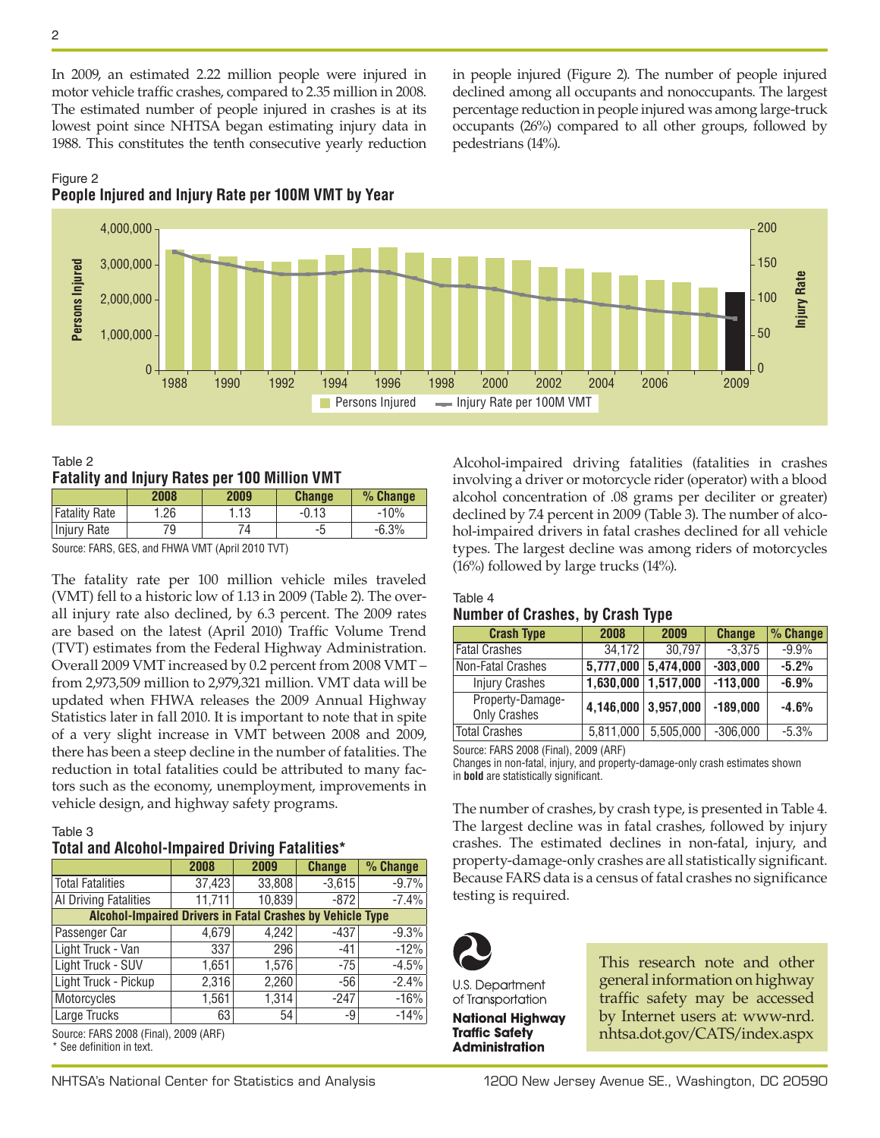In 2009, an estimated 2.22 million people were injured in motor vehicle traffic crashes, compared to 2.35 million in 2008. The estimated number of people injured in crashes is at its lowest point since NHTSA began estimating injury data in 1988. This constitutes the tenth consecutive yearly reduction in people injured (Figure 2). The number of people injured declined among all occupants and nonoccupants. The largest percentage reduction in people injured was among large-truck occupants (26%) compared to all other groups, followed by pedestrians (14%).

# Figure 2 **People Injured and Injury Rate per 100M VMT by Year**



Table 2 **Fatality and Injury Rates per 100 Million VMT**

|                                                                | 2008 | 2009 | <b>Change</b> | $%$ Change |
|----------------------------------------------------------------|------|------|---------------|------------|
| <b>Fatality Rate</b>                                           | 1.26 | 1.13 | $-0.13$       | $-10%$     |
| Injury Rate                                                    | 79   |      | -5            | $-6.3%$    |
| $\Omega$ . $\Gamma$ ADO OFO $\Gamma$ EUNIA UNIT IA 'LOOJO TUTY |      |      |               |            |

Source: FARS, GES, and FHWA VMT (April 2010 TVT)

The fatality rate per 100 million vehicle miles traveled (VMT) fell to a historic low of 1.13 in 2009 (Table 2). The overall injury rate also declined, by 6.3 percent. The 2009 rates are based on the latest (April 2010) Traffic Volume Trend (TVT) estimates from the Federal Highway Administration. Overall 2009 VMT increased by 0.2 percent from 2008 VMT – from 2,973,509 million to 2,979,321 million. VMT data will be updated when FHWA releases the 2009 Annual Highway Statistics later in fall 2010. It is important to note that in spite of a very slight increase in VMT between 2008 and 2009, there has been a steep decline in the number of fatalities. The reduction in total fatalities could be attributed to many factors such as the economy, unemployment, improvements in vehicle design, and highway safety programs.

## Table 3

# **Total and Alcohol-Impaired Driving Fatalities\***

|                                                                                                                                               | 2008   | 2009   | <b>Change</b> | % Change |  |  |  |  |  |
|-----------------------------------------------------------------------------------------------------------------------------------------------|--------|--------|---------------|----------|--|--|--|--|--|
| Total Fatalities                                                                                                                              | 37,423 | 33,808 | $-3,615$      | $-9.7%$  |  |  |  |  |  |
| Al Driving Fatalities                                                                                                                         | 11,711 | 10,839 | $-872$        | $-7.4%$  |  |  |  |  |  |
| <b>Alcohol-Impaired Drivers in Fatal Crashes by Vehicle Type</b>                                                                              |        |        |               |          |  |  |  |  |  |
| Passenger Car                                                                                                                                 | 4,679  | 4,242  | $-437$        | $-9.3%$  |  |  |  |  |  |
| Light Truck - Van                                                                                                                             | 337    | 296    | -41           | $-12%$   |  |  |  |  |  |
| Light Truck - SUV                                                                                                                             | 1,651  | 1,576  | $-75$         | $-4.5%$  |  |  |  |  |  |
| Light Truck - Pickup                                                                                                                          | 2,316  | 2,260  | -56           | $-2.4%$  |  |  |  |  |  |
| Motorcycles                                                                                                                                   | 1,561  | 1,314  | $-247$        | $-16%$   |  |  |  |  |  |
| Large Trucks                                                                                                                                  | 63     | 54     | -9            | $-14%$   |  |  |  |  |  |
| $P_{\text{out}}$ $\alpha$ , $EADP$ $\Omega$ $\Omega$ $\Omega$ $\beta$ $\Omega$ $\Omega$ $\Omega$ $\Omega$ $\Omega$ $\Omega$ $\Omega$ $\Omega$ |        |        |               |          |  |  |  |  |  |

Source: FARS 2008 (Final), 2009 (ARF) \* See definition in text.

Alcohol-impaired driving fatalities (fatalities in crashes involving a driver or motorcycle rider (operator) with a blood alcohol concentration of .08 grams per deciliter or greater) declined by 7.4 percent in 2009 (Table 3). The number of alcohol-impaired drivers in fatal crashes declined for all vehicle types. The largest decline was among riders of motorcycles (16%) followed by large trucks (14%).

## Table 4 **Number of Crashes, by Crash Type**

| <b>Crash Type</b>                       | 2008                | 2009      | <b>Change</b> | % Change |
|-----------------------------------------|---------------------|-----------|---------------|----------|
| <b>Fatal Crashes</b>                    | 34.172              | 30,797    | $-3,375$      | $-9.9%$  |
| Non-Fatal Crashes                       | 5,777,000           | 5,474,000 | $-303,000$    | $-5.2%$  |
| <b>Injury Crashes</b>                   | 1,630,000           | 1,517,000 | $-113,000$    | $-6.9%$  |
| Property-Damage-<br><b>Only Crashes</b> | 4,146,000 3,957,000 |           | $-189,000$    | $-4.6%$  |
| <b>Total Crashes</b>                    | 5,811,000           | 5,505,000 | $-306,000$    | $-5.3%$  |

Source: FARS 2008 (Final), 2009 (ARF)

Changes in non-fatal, injury, and property-damage-only crash estimates shown in **bold** are statistically significant.

The number of crashes, by crash type, is presented in Table 4. The largest decline was in fatal crashes, followed by injury crashes. The estimated declines in non-fatal, injury, and property-damage-only crashes are all statistically significant. Because FARS data is a census of fatal crashes no significance testing is required.



U.S. Department of Transportation **National Highway Traffic Safety Administration** 

This research note and other general information on highway traffic safety may be accessed by Internet users at: [www-nrd.](http://www-nrd.nhtsa.dot.gov/CATS/index.aspx) [nhtsa.dot.gov/CATS/index.aspx](http://www-nrd.nhtsa.dot.gov/CATS/index.aspx)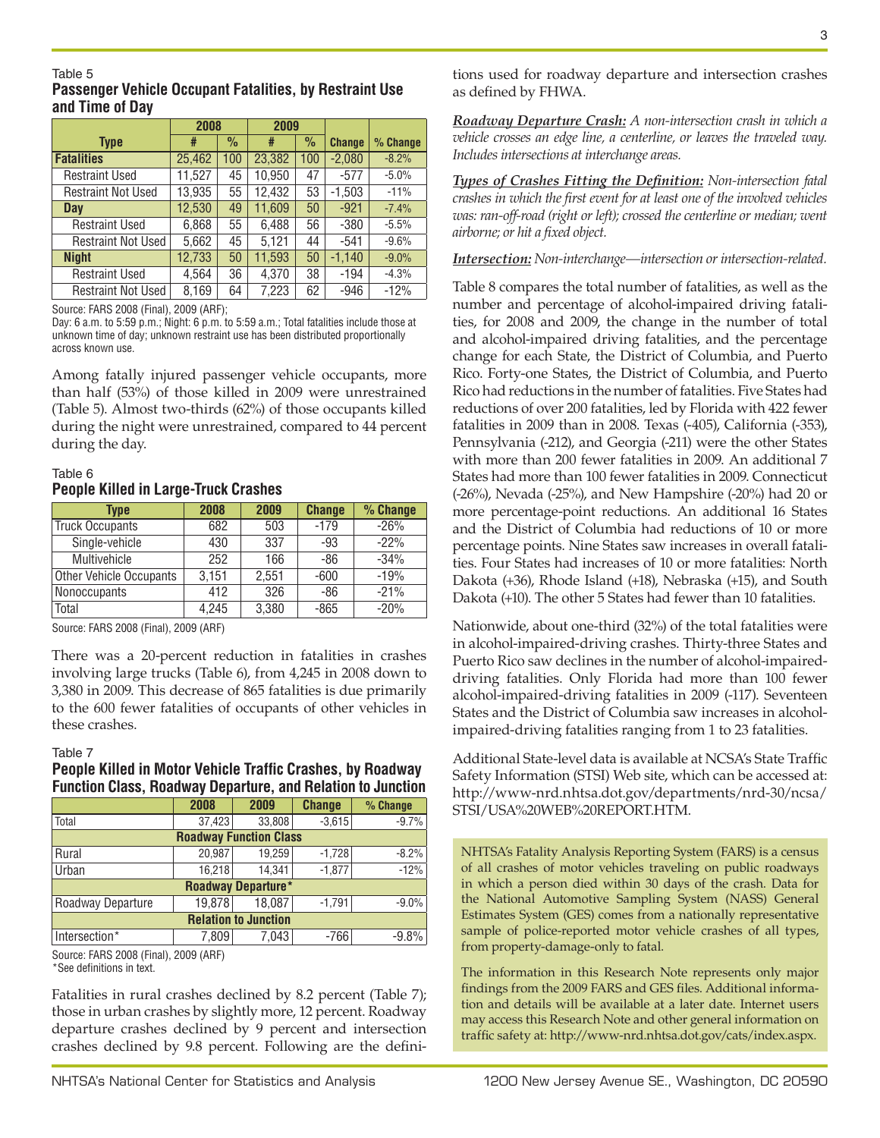#### Table 5 **Passenger Vehicle Occupant Fatalities, by Restraint Use and Time of Day**

|                           | 2008   |               | 2009   |               |               |          |
|---------------------------|--------|---------------|--------|---------------|---------------|----------|
| <b>Type</b>               | #      | $\frac{0}{0}$ | #      | $\frac{0}{0}$ | <b>Change</b> | % Change |
| <b>Fatalities</b>         | 25,462 | 100           | 23,382 | 100           | $-2,080$      | $-8.2%$  |
| <b>Restraint Used</b>     | 11,527 | 45            | 10,950 | 47            | $-577$        | $-5.0%$  |
| <b>Restraint Not Used</b> | 13,935 | 55            | 12,432 | 53            | $-1,503$      | $-11%$   |
| Day                       | 12,530 | 49            | 11,609 | 50            | $-921$        | $-7.4%$  |
| <b>Restraint Used</b>     | 6,868  | 55            | 6,488  | 56            | $-380$        | $-5.5%$  |
| <b>Restraint Not Used</b> | 5,662  | 45            | 5,121  | 44            | $-541$        | $-9.6%$  |
| <b>Night</b>              | 12,733 | 50            | 11,593 | 50            | $-1,140$      | $-9.0%$  |
| <b>Restraint Used</b>     | 4,564  | 36            | 4,370  | 38            | $-194$        | $-4.3%$  |
| <b>Restraint Not Used</b> | 8,169  | 64            | 7.223  | 62            | -946          | $-12%$   |

Source: FARS 2008 (Final), 2009 (ARF);

Day: 6 a.m. to 5:59 p.m.; Night: 6 p.m. to 5:59 a.m.; Total fatalities include those at unknown time of day; unknown restraint use has been distributed proportionally across known use.

Among fatally injured passenger vehicle occupants, more than half (53%) of those killed in 2009 were unrestrained (Table 5). Almost two-thirds (62%) of those occupants killed during the night were unrestrained, compared to 44 percent during the day.

### Table 6 **People Killed in Large-Truck Crashes**

| <b>Type</b>             | 2008  | 2009  | <b>Change</b> | % Change |
|-------------------------|-------|-------|---------------|----------|
| <b>Truck Occupants</b>  | 682   | 503   | $-179$        | $-26%$   |
| Single-vehicle          | 430   | 337   | -93           | $-22%$   |
| Multivehicle            | 252   | 166   | -86           | $-34%$   |
| Other Vehicle Occupants | 3,151 | 2,551 | $-600$        | $-19%$   |
| <b>Nonoccupants</b>     | 412   | 326   | -86           | $-21%$   |
| Total                   | 4.245 | 3,380 | $-865$        | $-20%$   |

Source: FARS 2008 (Final), 2009 (ARF)

There was a 20-percent reduction in fatalities in crashes involving large trucks (Table 6), from 4,245 in 2008 down to 3,380 in 2009. This decrease of 865 fatalities is due primarily to the 600 fewer fatalities of occupants of other vehicles in these crashes.

#### Table 7

#### **People Killed in Motor Vehicle Traffic Crashes, by Roadway Function Class, Roadway Departure, and Relation to Junction**

|                               | 2008<br>2009 |        | <b>Change</b> | % Change |  |  |  |  |  |
|-------------------------------|--------------|--------|---------------|----------|--|--|--|--|--|
| Total                         | 37,423       | 33,808 | $-3,615$      | $-9.7%$  |  |  |  |  |  |
| <b>Roadway Function Class</b> |              |        |               |          |  |  |  |  |  |
| Rural                         | 20,987       | 19,259 | $-1,728$      | $-8.2%$  |  |  |  |  |  |
| Urban                         | 16.218       | 14.341 | $-1.877$      | $-12%$   |  |  |  |  |  |
| <b>Roadway Departure*</b>     |              |        |               |          |  |  |  |  |  |
| Roadway Departure             | 19,878       | 18,087 | $-1,791$      | $-9.0%$  |  |  |  |  |  |
| <b>Relation to Junction</b>   |              |        |               |          |  |  |  |  |  |
| Intersection*                 | 7,809        | 7.043  | $-766$        | $-9.8%$  |  |  |  |  |  |
|                               |              |        |               |          |  |  |  |  |  |

Source: FARS 2008 (Final), 2009 (ARF) \*See definitions in text.

Fatalities in rural crashes declined by 8.2 percent (Table 7); those in urban crashes by slightly more, 12 percent. Roadway departure crashes declined by 9 percent and intersection crashes declined by 9.8 percent. Following are the defini-

tions used for roadway departure and intersection crashes as defined by FHWA.

*Roadway Departure Crash: A non-intersection crash in which a vehicle crosses an edge line, a centerline, or leaves the traveled way. Includes intersections at interchange areas.* 

*Types of Crashes Fitting the Definition: Non-intersection fatal crashes in which the first event for at least one of the involved vehicles was: ran-off-road (right or left); crossed the centerline or median; went airborne; or hit a fixed object.*

*Intersection: Non-interchange—intersection or intersection-related.*

Table 8 compares the total number of fatalities, as well as the number and percentage of alcohol-impaired driving fatalities, for 2008 and 2009, the change in the number of total and alcohol-impaired driving fatalities, and the percentage change for each State, the District of Columbia, and Puerto Rico. Forty-one States, the District of Columbia, and Puerto Rico had reductions in the number of fatalities. Five States had reductions of over 200 fatalities, led by Florida with 422 fewer fatalities in 2009 than in 2008. Texas (-405), California (-353), Pennsylvania (-212), and Georgia (-211) were the other States with more than 200 fewer fatalities in 2009. An additional 7 States had more than 100 fewer fatalities in 2009. Connecticut (-26%), Nevada (-25%), and New Hampshire (-20%) had 20 or more percentage-point reductions. An additional 16 States and the District of Columbia had reductions of 10 or more percentage points. Nine States saw increases in overall fatalities. Four States had increases of 10 or more fatalities: North Dakota (+36), Rhode Island (+18), Nebraska (+15), and South Dakota (+10). The other 5 States had fewer than 10 fatalities.

Nationwide, about one-third (32%) of the total fatalities were in alcohol-impaired-driving crashes. Thirty-three States and Puerto Rico saw declines in the number of alcohol-impaireddriving fatalities. Only Florida had more than 100 fewer alcohol-impaired-driving fatalities in 2009 (-117). Seventeen States and the District of Columbia saw increases in alcoholimpaired-driving fatalities ranging from 1 to 23 fatalities.

Additional State-level data is available at NCSA's State Traffic Safety Information (STSI) Web site, which can be accessed at: [http://www-nrd.nhtsa.dot.gov/departments/nrd-30/ncsa/](http://www-nrd.nhtsa.dot.gov/departments/nrd-30/ncsa/STSI/USA WEB REPORT.HTM) [STSI/USA%20WEB%20REPORT.HTM.](http://www-nrd.nhtsa.dot.gov/departments/nrd-30/ncsa/STSI/USA WEB REPORT.HTM)

NHTSA's Fatality Analysis Reporting System (FARS) is a census of all crashes of motor vehicles traveling on public roadways in which a person died within 30 days of the crash. Data for the National Automotive Sampling System (NASS) General Estimates System (GES) comes from a nationally representative sample of police-reported motor vehicle crashes of all types, from property-damage-only to fatal.

The information in this Research Note represents only major findings from the 2009 FARS and GES files. Additional information and details will be available at a later date. Internet users may access this Research Note and other general information on traffic safety at: <http://www-nrd.nhtsa.dot.gov/cats/index.aspx>.